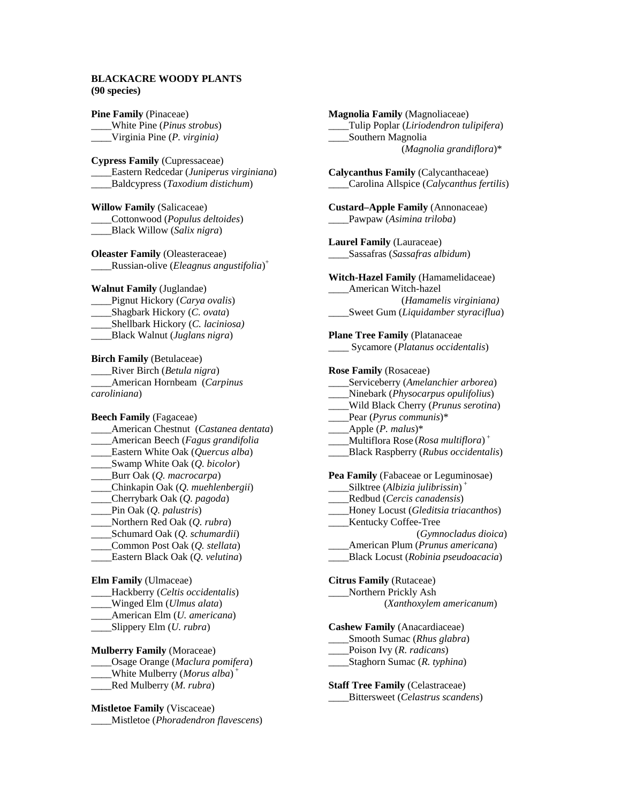## **BLACKACRE WOODY PLANTS (90 species)**

**Pine Family** (Pinaceae) \_\_\_\_White Pine (*Pinus strobus*) \_\_\_\_Virginia Pine (*P. virginia)*

**Cypress Family** (Cupressaceae) \_\_\_\_Eastern Redcedar (*Juniperus virginiana*) \_\_\_\_Baldcypress (*Taxodium distichum*)

**Willow Family** (Salicaceae) \_\_\_\_Cottonwood (*Populus deltoides*) \_\_\_\_Black Willow (*Salix nigra*)

**Oleaster Family** (Oleasteraceae) \_\_\_\_Russian-olive (*Eleagnus angustifolia*) +

#### **Walnut Family** (Juglandae)

- \_\_\_\_Pignut Hickory (*Carya ovalis*) \_\_\_\_Shagbark Hickory (*C. ovata*) \_\_\_\_Shellbark Hickory (*C. laciniosa)*
- \_\_\_\_Black Walnut (*Juglans nigra*)

**Birch Family** (Betulaceae)

\_\_\_\_River Birch (*Betula nigra*) \_\_\_\_American Hornbeam (*Carpinus caroliniana*)

**Beech Family** (Fagaceae) \_\_\_\_American Chestnut (*Castanea dentata*) \_\_\_\_American Beech (*Fagus grandifolia* \_\_\_\_Eastern White Oak (*Quercus alba*) \_\_\_\_Swamp White Oak (*Q. bicolor*) \_\_\_\_Burr Oak (*Q. macrocarpa*) \_\_\_\_Chinkapin Oak (*Q. muehlenbergii*) \_\_\_\_Cherrybark Oak (*Q. pagoda*) \_\_\_\_Pin Oak (*Q. palustris*) \_\_\_\_Northern Red Oak (*Q. rubra*) \_\_\_\_Schumard Oak (*Q. schumardii*) \_\_\_\_Common Post Oak (*Q. stellata*) \_\_\_\_Eastern Black Oak (*Q. velutina*) **Elm Family** (Ulmaceae) \_\_\_\_Hackberry (*Celtis occidentalis*)

- \_\_\_\_Winged Elm (*Ulmus alata*)
- \_\_\_\_American Elm (*U. americana*)
- \_\_\_\_Slippery Elm (*U. rubra*)

**Mulberry Family** (Moraceae) \_\_\_\_Osage Orange (*Maclura pomifera*) \_\_\_\_White Mulberry (*Morus alba*) + \_\_\_\_Red Mulberry (*M. rubra*)

**Mistletoe Family** (Viscaceae) \_\_\_\_Mistletoe (*Phoradendron flavescens*)

**Magnolia Family** (Magnoliaceae) \_\_\_\_Tulip Poplar (*Liriodendron tulipifera*) \_\_\_\_Southern Magnolia (*Magnolia grandiflora*)\* **Calycanthus Family** (Calycanthaceae) \_\_\_\_Carolina Allspice (*Calycanthus fertilis*) **Custard–Apple Family** (Annonaceae) \_\_\_\_Pawpaw (*Asimina triloba*) **Laurel Family** (Lauraceae) \_\_\_\_Sassafras (*Sassafras albidum*) **Witch-Hazel Family** (Hamamelidaceae) \_\_\_\_American Witch-hazel (*Hamamelis virginiana)*  \_\_\_\_Sweet Gum (*Liquidamber styraciflua*) **Plane Tree Family** (Platanaceae \_\_\_\_ Sycamore (*Platanus occidentalis*) **Rose Family** (Rosaceae) \_\_\_\_Serviceberry (*Amelanchier arborea*) \_\_\_\_Ninebark (*Physocarpus opulifolius*) \_\_\_\_Wild Black Cherry (*Prunus serotina*) \_\_\_\_Pear (*Pyrus communis*)\* \_\_\_\_Apple (*P. malus*)\* \_\_\_\_Multiflora Rose (*Rosa multiflora*) + \_\_\_\_Black Raspberry (*Rubus occidentalis*) **Pea Family** (Fabaceae or Leguminosae) \_\_\_\_Silktree (*Albizia julibrissin*) + \_\_\_\_Redbud (*Cercis canadensis*) \_\_\_\_Honey Locust (*Gleditsia triacanthos*) Kentucky Coffee-Tree (*Gymnocladus dioica*) \_\_\_\_American Plum (*Prunus americana*) \_\_\_\_Black Locust (*Robinia pseudoacacia*) **Citrus Family** (Rutaceae) Northern Prickly Ash (*Xanthoxylem americanum*) **Cashew Family** (Anacardiaceae) \_\_\_\_Smooth Sumac (*Rhus glabra*) \_\_\_\_Poison Ivy (*R. radicans*) \_\_\_\_Staghorn Sumac (*R. typhina*) **Staff Tree Family** (Celastraceae)

\_\_\_\_Bittersweet (*Celastrus scandens*)